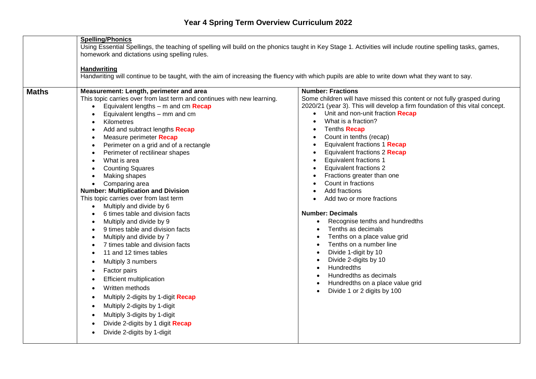|              | <b>Spelling/Phonics</b><br>Using Essential Spellings, the teaching of spelling will build on the phonics taught in Key Stage 1. Activities will include routine spelling tasks, games,                                                                                                                                                                                                                                                                                                                                                                                                                                                                                                                                                                                                                                                                                     |                                                                                                                                                                                                                                                                                                                                                                                                                                                                                                                                                                                                                                                                                                                                         |  |  |
|--------------|----------------------------------------------------------------------------------------------------------------------------------------------------------------------------------------------------------------------------------------------------------------------------------------------------------------------------------------------------------------------------------------------------------------------------------------------------------------------------------------------------------------------------------------------------------------------------------------------------------------------------------------------------------------------------------------------------------------------------------------------------------------------------------------------------------------------------------------------------------------------------|-----------------------------------------------------------------------------------------------------------------------------------------------------------------------------------------------------------------------------------------------------------------------------------------------------------------------------------------------------------------------------------------------------------------------------------------------------------------------------------------------------------------------------------------------------------------------------------------------------------------------------------------------------------------------------------------------------------------------------------------|--|--|
|              |                                                                                                                                                                                                                                                                                                                                                                                                                                                                                                                                                                                                                                                                                                                                                                                                                                                                            |                                                                                                                                                                                                                                                                                                                                                                                                                                                                                                                                                                                                                                                                                                                                         |  |  |
|              | homework and dictations using spelling rules.                                                                                                                                                                                                                                                                                                                                                                                                                                                                                                                                                                                                                                                                                                                                                                                                                              |                                                                                                                                                                                                                                                                                                                                                                                                                                                                                                                                                                                                                                                                                                                                         |  |  |
|              | <b>Handwriting</b>                                                                                                                                                                                                                                                                                                                                                                                                                                                                                                                                                                                                                                                                                                                                                                                                                                                         |                                                                                                                                                                                                                                                                                                                                                                                                                                                                                                                                                                                                                                                                                                                                         |  |  |
|              | Handwriting will continue to be taught, with the aim of increasing the fluency with which pupils are able to write down what they want to say.                                                                                                                                                                                                                                                                                                                                                                                                                                                                                                                                                                                                                                                                                                                             |                                                                                                                                                                                                                                                                                                                                                                                                                                                                                                                                                                                                                                                                                                                                         |  |  |
|              |                                                                                                                                                                                                                                                                                                                                                                                                                                                                                                                                                                                                                                                                                                                                                                                                                                                                            |                                                                                                                                                                                                                                                                                                                                                                                                                                                                                                                                                                                                                                                                                                                                         |  |  |
| <b>Maths</b> | Measurement: Length, perimeter and area<br>This topic carries over from last term and continues with new learning.<br>Equivalent lengths $-$ m and cm Recap<br>Equivalent lengths - mm and cm<br>Kilometres<br>$\bullet$<br>Add and subtract lengths Recap<br>Measure perimeter Recap<br>$\bullet$<br>Perimeter on a grid and of a rectangle<br>$\bullet$<br>Perimeter of rectilinear shapes<br>$\bullet$<br>What is area<br>$\bullet$<br><b>Counting Squares</b><br>$\bullet$<br>Making shapes<br>Comparing area<br>$\bullet$<br><b>Number: Multiplication and Division</b><br>This topic carries over from last term<br>Multiply and divide by 6<br>$\bullet$<br>6 times table and division facts<br>$\bullet$<br>Multiply and divide by 9<br>$\bullet$<br>9 times table and division facts<br>$\bullet$<br>Multiply and divide by 7<br>7 times table and division facts | <b>Number: Fractions</b><br>Some children will have missed this content or not fully grasped during<br>2020/21 (year 3). This will develop a firm foundation of this vital concept.<br>Unit and non-unit fraction Recap<br>What is a fraction?<br>Tenths <b>Recap</b><br>Count in tenths (recap)<br>$\bullet$<br>Equivalent fractions 1 Recap<br>Equivalent fractions 2 Recap<br><b>Equivalent fractions 1</b><br><b>Equivalent fractions 2</b><br>Fractions greater than one<br>Count in fractions<br>Add fractions<br>Add two or more fractions<br><b>Number: Decimals</b><br>Recognise tenths and hundredths<br>$\bullet$<br>Tenths as decimals<br>Tenths on a place value grid<br>$\bullet$<br>Tenths on a number line<br>$\bullet$ |  |  |
|              | 11 and 12 times tables<br>Multiply 3 numbers<br>Factor pairs<br>$\bullet$<br><b>Efficient multiplication</b><br>$\bullet$<br>Written methods<br>$\bullet$<br>Multiply 2-digits by 1-digit Recap<br>٠<br>Multiply 2-digits by 1-digit<br>$\bullet$<br>Multiply 3-digits by 1-digit<br>Divide 2-digits by 1 digit Recap<br>Divide 2-digits by 1-digit<br>$\bullet$                                                                                                                                                                                                                                                                                                                                                                                                                                                                                                           | Divide 1-digit by 10<br>Divide 2-digits by 10<br>$\bullet$<br><b>Hundredths</b><br>$\bullet$<br>Hundredths as decimals<br>Hundredths on a place value grid<br>Divide 1 or 2 digits by 100                                                                                                                                                                                                                                                                                                                                                                                                                                                                                                                                               |  |  |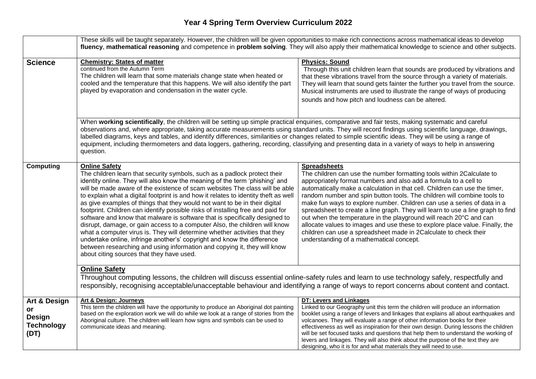|                                                                             | These skills will be taught separately. However, the children will be given opportunities to make rich connections across mathematical ideas to develop<br>fluency, mathematical reasoning and competence in problem solving. They will also apply their mathematical knowledge to science and other subjects.                                                                                                                                                                                                                                                                                                                                                                                                                                                                                                                                                                                                                                                         |                                                                                                                                                                                                                                                                                                                                                                                                                                                                                                                                                                                                                                                                                                                                                               |  |  |
|-----------------------------------------------------------------------------|------------------------------------------------------------------------------------------------------------------------------------------------------------------------------------------------------------------------------------------------------------------------------------------------------------------------------------------------------------------------------------------------------------------------------------------------------------------------------------------------------------------------------------------------------------------------------------------------------------------------------------------------------------------------------------------------------------------------------------------------------------------------------------------------------------------------------------------------------------------------------------------------------------------------------------------------------------------------|---------------------------------------------------------------------------------------------------------------------------------------------------------------------------------------------------------------------------------------------------------------------------------------------------------------------------------------------------------------------------------------------------------------------------------------------------------------------------------------------------------------------------------------------------------------------------------------------------------------------------------------------------------------------------------------------------------------------------------------------------------------|--|--|
| <b>Science</b>                                                              | <b>Chemistry: States of matter</b><br>continued from the Autumn Term<br>The children will learn that some materials change state when heated or<br>cooled and the temperature that this happens. We will also identify the part<br>played by evaporation and condensation in the water cycle.                                                                                                                                                                                                                                                                                                                                                                                                                                                                                                                                                                                                                                                                          | <b>Physics: Sound</b><br>Through this unit children learn that sounds are produced by vibrations and<br>that these vibrations travel from the source through a variety of materials.<br>They will learn that sound gets fainter the further you travel from the source.<br>Musical instruments are used to illustrate the range of ways of producing<br>sounds and how pitch and loudness can be altered.                                                                                                                                                                                                                                                                                                                                                     |  |  |
|                                                                             | When working scientifically, the children will be setting up simple practical enquiries, comparative and fair tests, making systematic and careful<br>observations and, where appropriate, taking accurate measurements using standard units. They will record findings using scientific language, drawings,<br>labelled diagrams, keys and tables, and identify differences, similarities or changes related to simple scientific ideas. They will be using a range of<br>equipment, including thermometers and data loggers, gathering, recording, classifying and presenting data in a variety of ways to help in answering<br>question.                                                                                                                                                                                                                                                                                                                            |                                                                                                                                                                                                                                                                                                                                                                                                                                                                                                                                                                                                                                                                                                                                                               |  |  |
| <b>Computing</b>                                                            | <b>Online Safety</b><br>The children learn that security symbols, such as a padlock protect their<br>identity online. They will also know the meaning of the term 'phishing' and<br>will be made aware of the existence of scam websites The class will be able<br>to explain what a digital footprint is and how it relates to identity theft as well<br>as give examples of things that they would not want to be in their digital<br>footprint. Children can identify possible risks of installing free and paid for<br>software and know that malware is software that is specifically designed to<br>disrupt, damage, or gain access to a computer Also, the children will know<br>what a computer virus is. They will determine whether activities that they<br>undertake online, infringe another's' copyright and know the difference<br>between researching and using information and copying it, they will know<br>about citing sources that they have used. | <b>Spreadsheets</b><br>The children can use the number formatting tools within 2Calculate to<br>appropriately format numbers and also add a formula to a cell to<br>automatically make a calculation in that cell. Children can use the timer,<br>random number and spin button tools. The children will combine tools to<br>make fun ways to explore number. Children can use a series of data in a<br>spreadsheet to create a line graph. They will learn to use a line graph to find<br>out when the temperature in the playground will reach 20°C and can<br>allocate values to images and use these to explore place value. Finally, the<br>children can use a spreadsheet made in 2Calculate to check their<br>understanding of a mathematical concept. |  |  |
|                                                                             | <b>Online Safety</b><br>Throughout computing lessons, the children will discuss essential online-safety rules and learn to use technology safely, respectfully and<br>responsibly, recognising acceptable/unacceptable behaviour and identifying a range of ways to report concerns about content and contact.                                                                                                                                                                                                                                                                                                                                                                                                                                                                                                                                                                                                                                                         |                                                                                                                                                                                                                                                                                                                                                                                                                                                                                                                                                                                                                                                                                                                                                               |  |  |
| <b>Art &amp; Design</b><br>or<br><b>Design</b><br><b>Technology</b><br>(DT) | Art & Design: Journeys<br>This term the children will have the opportunity to produce an Aboriginal dot painting<br>based on the exploration work we will do while we look at a range of stories from the<br>Aboriginal culture. The children will learn how signs and symbols can be used to<br>communicate ideas and meaning.                                                                                                                                                                                                                                                                                                                                                                                                                                                                                                                                                                                                                                        | DT: Levers and Linkages<br>Linked to our Geography unit this term the children will produce an information<br>booklet using a range of levers and linkages that explains all about earthquakes and<br>volcanoes. They will evaluate a range of other information books for their<br>effectiveness as well as inspiration for their own design. During lessons the children<br>will be set focused tasks and questions that help them to understand the working of<br>levers and linkages. They will also think about the purpose of the text they are<br>designing, who it is for and what materials they will need to use.                                                                                                                                   |  |  |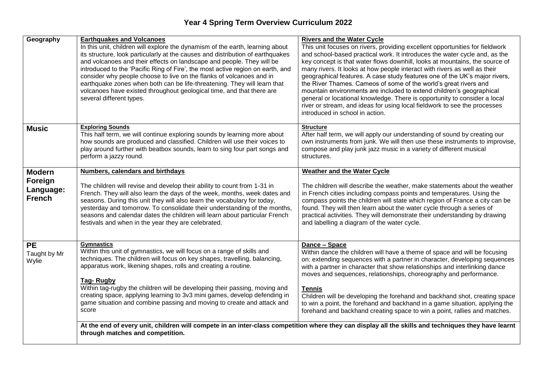| Geography     | <b>Earthquakes and Volcanoes</b>                                                                                                                        | <b>Rivers and the Water Cycle</b>                                                                                                                    |
|---------------|---------------------------------------------------------------------------------------------------------------------------------------------------------|------------------------------------------------------------------------------------------------------------------------------------------------------|
|               | In this unit, children will explore the dynamism of the earth, learning about                                                                           | This unit focuses on rivers, providing excellent opportunities for fieldwork                                                                         |
|               | its structure, look particularly at the causes and distribution of earthquakes                                                                          | and school-based practical work. It introduces the water cycle and, as the                                                                           |
|               | and volcanoes and their effects on landscape and people. They will be                                                                                   | key concept is that water flows downhill, looks at mountains, the source of                                                                          |
|               | introduced to the 'Pacific Ring of Fire', the most active region on earth, and                                                                          | many rivers. It looks at how people interact with rivers as well as their                                                                            |
|               | consider why people choose to live on the flanks of volcanoes and in                                                                                    | geographical features. A case study features one of the UK's major rivers,                                                                           |
|               | earthquake zones when both can be life-threatening. They will learn that                                                                                | the River Thames. Cameos of some of the world's great rivers and                                                                                     |
|               | volcanoes have existed throughout geological time, and that there are                                                                                   | mountain environments are included to extend children's geographical                                                                                 |
|               | several different types.                                                                                                                                | general or locational knowledge. There is opportunity to consider a local                                                                            |
|               |                                                                                                                                                         | river or stream, and ideas for using local fieldwork to see the processes                                                                            |
|               |                                                                                                                                                         | introduced in school in action.                                                                                                                      |
| <b>Music</b>  | <b>Exploring Sounds</b>                                                                                                                                 | <b>Structure</b>                                                                                                                                     |
|               | This half term, we will continue exploring sounds by learning more about                                                                                | After half term, we will apply our understanding of sound by creating our                                                                            |
|               | how sounds are produced and classified. Children will use their voices to<br>play around further with beatbox sounds, learn to sing four part songs and | own instruments from junk. We will then use these instruments to improvise,<br>compose and play junk jazz music in a variety of different musical    |
|               | perform a jazzy round.                                                                                                                                  | structures.                                                                                                                                          |
|               |                                                                                                                                                         |                                                                                                                                                      |
| <b>Modern</b> | <b>Numbers, calendars and birthdays</b>                                                                                                                 | <b>Weather and the Water Cycle</b>                                                                                                                   |
| Foreign       |                                                                                                                                                         |                                                                                                                                                      |
| Language:     | The children will revise and develop their ability to count from 1-31 in                                                                                | The children will describe the weather, make statements about the weather                                                                            |
| <b>French</b> | French. They will also learn the days of the week, months, week dates and<br>seasons. During this unit they will also learn the vocabulary for today,   | in French cities including compass points and temperatures. Using the<br>compass points the children will state which region of France a city can be |
|               | yesterday and tomorrow. To consolidate their understanding of the months,                                                                               | found. They will then learn about the water cycle through a series of                                                                                |
|               | seasons and calendar dates the children will learn about particular French                                                                              | practical activities. They will demonstrate their understanding by drawing                                                                           |
|               | festivals and when in the year they are celebrated.                                                                                                     | and labelling a diagram of the water cycle.                                                                                                          |
|               |                                                                                                                                                         |                                                                                                                                                      |
|               |                                                                                                                                                         |                                                                                                                                                      |
| <b>PE</b>     | <b>Gymnastics</b><br>Within this unit of gymnastics, we will focus on a range of skills and                                                             | Dance - Space<br>Within dance the children will have a theme of space and will be focusing                                                           |
| Taught by Mr  | techniques. The children will focus on key shapes, travelling, balancing,                                                                               | on: extending sequences with a partner in character, developing sequences                                                                            |
| Wylie         | apparatus work, likening shapes, rolls and creating a routine.                                                                                          | with a partner in character that show relationships and interlinking dance                                                                           |
|               |                                                                                                                                                         | moves and sequences, relationships, choreography and performance.                                                                                    |
|               | <b>Tag-Rugby</b>                                                                                                                                        |                                                                                                                                                      |
|               | Within tag-rugby the children will be developing their passing, moving and                                                                              | <b>Tennis</b>                                                                                                                                        |
|               | creating space, applying learning to 3v3 mini games, develop defending in                                                                               | Children will be developing the forehand and backhand shot, creating space                                                                           |
|               | game situation and combine passing and moving to create and attack and                                                                                  | to win a point, the forehand and backhand in a game situation, applying the                                                                          |
|               | score                                                                                                                                                   | forehand and backhand creating space to win a point, rallies and matches.                                                                            |
|               |                                                                                                                                                         |                                                                                                                                                      |
|               | through matches and competition.                                                                                                                        | At the end of every unit, children will compete in an inter-class competition where they can display all the skills and techniques they have learnt  |
|               |                                                                                                                                                         |                                                                                                                                                      |